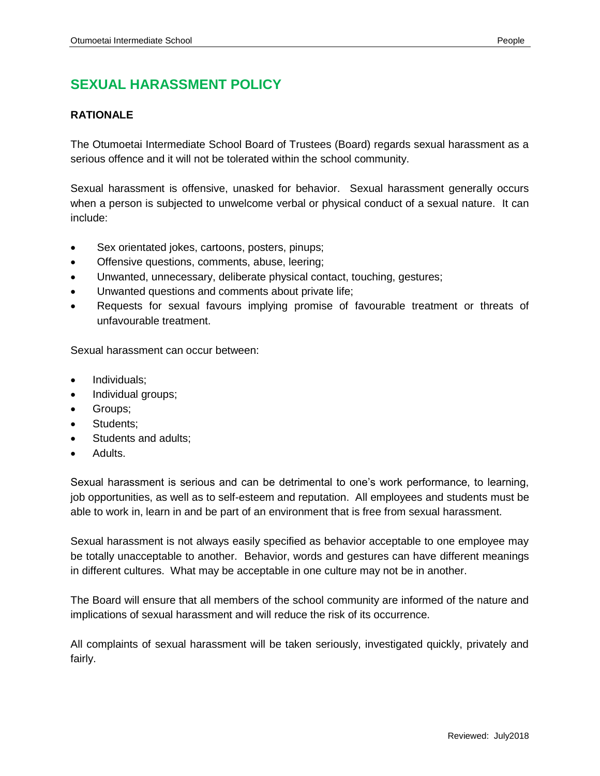# **SEXUAL HARASSMENT POLICY**

## **RATIONALE**

The Otumoetai Intermediate School Board of Trustees (Board) regards sexual harassment as a serious offence and it will not be tolerated within the school community.

Sexual harassment is offensive, unasked for behavior. Sexual harassment generally occurs when a person is subjected to unwelcome verbal or physical conduct of a sexual nature. It can include:

- Sex orientated jokes, cartoons, posters, pinups;
- Offensive questions, comments, abuse, leering;
- Unwanted, unnecessary, deliberate physical contact, touching, gestures;
- Unwanted questions and comments about private life;
- Requests for sexual favours implying promise of favourable treatment or threats of unfavourable treatment.

Sexual harassment can occur between:

- Individuals;
- Individual groups;
- Groups;
- Students;
- Students and adults;
- Adults.

Sexual harassment is serious and can be detrimental to one's work performance, to learning, job opportunities, as well as to self-esteem and reputation. All employees and students must be able to work in, learn in and be part of an environment that is free from sexual harassment.

Sexual harassment is not always easily specified as behavior acceptable to one employee may be totally unacceptable to another. Behavior, words and gestures can have different meanings in different cultures. What may be acceptable in one culture may not be in another.

The Board will ensure that all members of the school community are informed of the nature and implications of sexual harassment and will reduce the risk of its occurrence.

All complaints of sexual harassment will be taken seriously, investigated quickly, privately and fairly.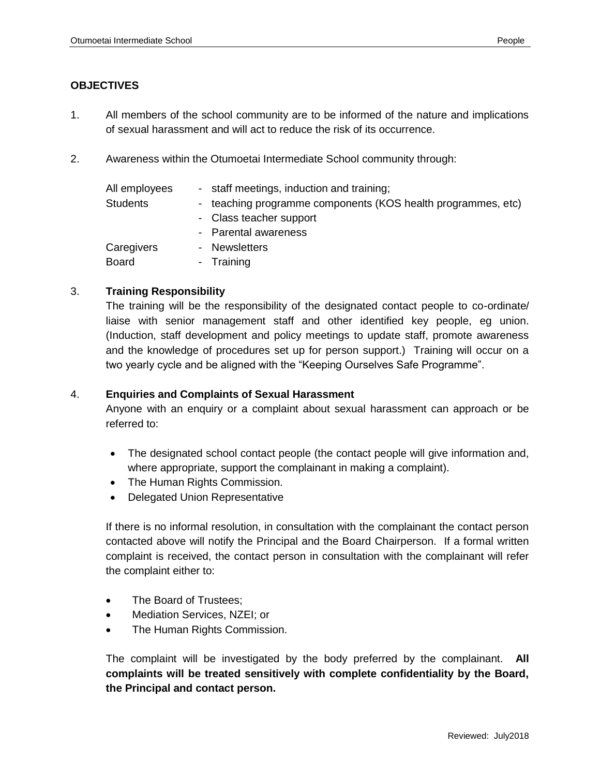## **OBJECTIVES**

- 1. All members of the school community are to be informed of the nature and implications of sexual harassment and will act to reduce the risk of its occurrence.
- 2. Awareness within the Otumoetai Intermediate School community through:

| - staff meetings, induction and training;                    |
|--------------------------------------------------------------|
| - teaching programme components (KOS health programmes, etc) |
| - Class teacher support                                      |
| - Parental awareness                                         |
| - Newsletters                                                |
| - Training                                                   |
|                                                              |

### 3. **Training Responsibility**

The training will be the responsibility of the designated contact people to co-ordinate/ liaise with senior management staff and other identified key people, eg union. (Induction, staff development and policy meetings to update staff, promote awareness and the knowledge of procedures set up for person support.) Training will occur on a two yearly cycle and be aligned with the "Keeping Ourselves Safe Programme".

### 4. **Enquiries and Complaints of Sexual Harassment**

Anyone with an enquiry or a complaint about sexual harassment can approach or be referred to:

- The designated school contact people (the contact people will give information and, where appropriate, support the complainant in making a complaint).
- The Human Rights Commission.
- Delegated Union Representative

If there is no informal resolution, in consultation with the complainant the contact person contacted above will notify the Principal and the Board Chairperson. If a formal written complaint is received, the contact person in consultation with the complainant will refer the complaint either to:

- The Board of Trustees;
- Mediation Services, NZEI; or
- The Human Rights Commission.

The complaint will be investigated by the body preferred by the complainant. **All complaints will be treated sensitively with complete confidentiality by the Board, the Principal and contact person.**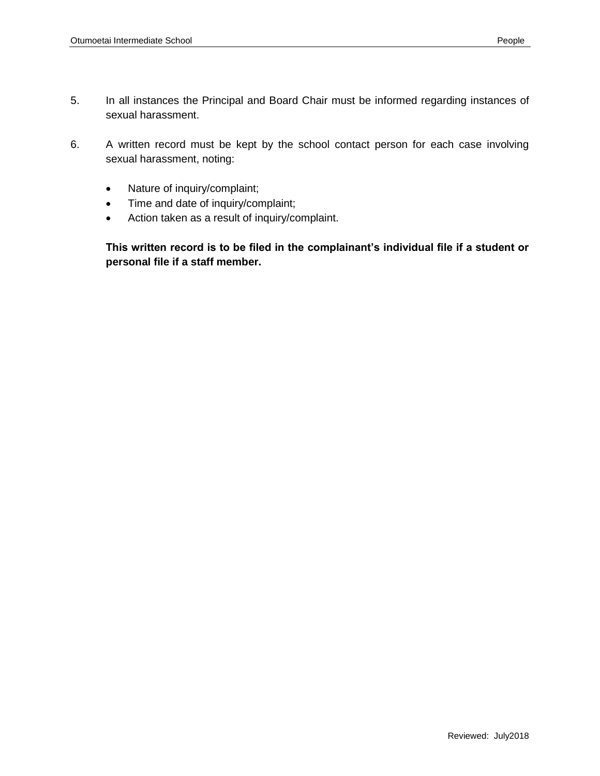- 5. In all instances the Principal and Board Chair must be informed regarding instances of sexual harassment.
- 6. A written record must be kept by the school contact person for each case involving sexual harassment, noting:
	- Nature of inquiry/complaint;
	- Time and date of inquiry/complaint;
	- Action taken as a result of inquiry/complaint.

**This written record is to be filed in the complainant's individual file if a student or personal file if a staff member.**